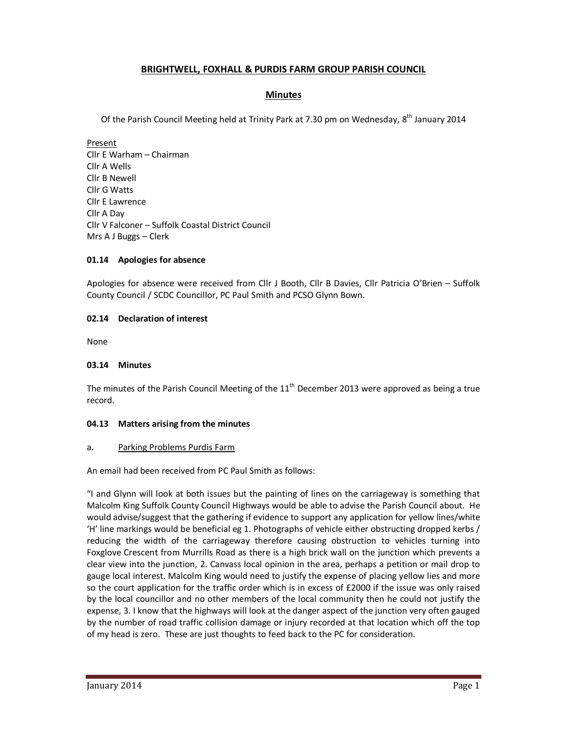# **BRIGHTWELL, FOXHALL & PURDIS FARM GROUP PARISH COUNCIL**

# **Minutes**

Of the Parish Council Meeting held at Trinity Park at 7.30 pm on Wednesday,  $8^{th}$  January 2014

Present Cllr E Warham – Chairman Cllr A Wells Cllr B Newell Cllr G Watts Cllr E Lawrence Cllr A Day Cllr V Falconer – Suffolk Coastal District Council Mrs A J Buggs – Clerk

# **01.14 Apologies for absence**

Apologies for absence were received from Cllr J Booth, Cllr B Davies, Cllr Patricia O'Brien – Suffolk County Council / SCDC Councillor, PC Paul Smith and PCSO Glynn Bown.

# **02.14 Declaration of interest**

None

### **03.14 Minutes**

The minutes of the Parish Council Meeting of the  $11<sup>th</sup>$  December 2013 were approved as being a true record.

### **04.13 Matters arising from the minutes**

### a. Parking Problems Purdis Farm

An email had been received from PC Paul Smith as follows:

"I and Glynn will look at both issues but the painting of lines on the carriageway is something that Malcolm King Suffolk County Council Highways would be able to advise the Parish Council about. He would advise/suggest that the gathering if evidence to support any application for yellow lines/white 'H' line markings would be beneficial eg 1. Photographs of vehicle either obstructing dropped kerbs / reducing the width of the carriageway therefore causing obstruction to vehicles turning into Foxglove Crescent from Murrills Road as there is a high brick wall on the junction which prevents a clear view into the junction, 2. Canvass local opinion in the area, perhaps a petition or mail drop to gauge local interest. Malcolm King would need to justify the expense of placing yellow lies and more so the court application for the traffic order which is in excess of £2000 if the issue was only raised by the local councillor and no other members of the local community then he could not justify the expense, 3. I know that the highways will look at the danger aspect of the junction very often gauged by the number of road traffic collision damage or injury recorded at that location which off the top of my head is zero. These are just thoughts to feed back to the PC for consideration.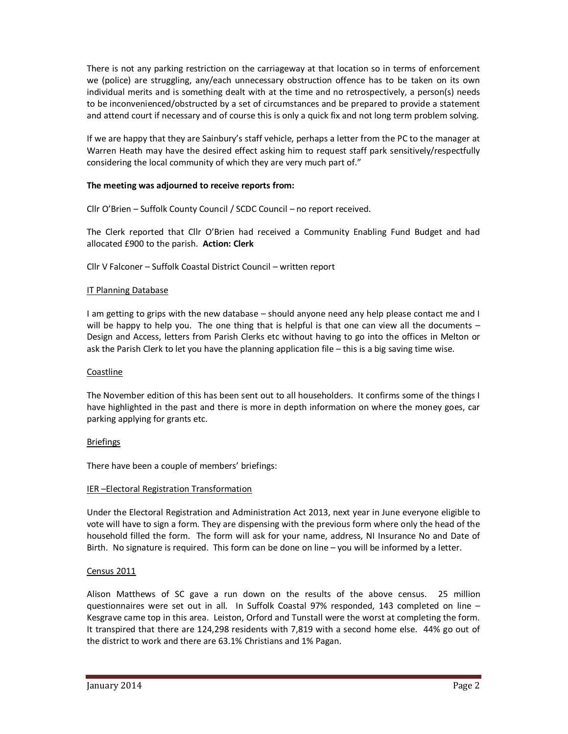There is not any parking restriction on the carriageway at that location so in terms of enforcement we (police) are struggling, any/each unnecessary obstruction offence has to be taken on its own individual merits and is something dealt with at the time and no retrospectively, a person(s) needs to be inconvenienced/obstructed by a set of circumstances and be prepared to provide a statement and attend court if necessary and of course this is only a quick fix and not long term problem solving.

If we are happy that they are Sainbury's staff vehicle, perhaps a letter from the PC to the manager at Warren Heath may have the desired effect asking him to request staff park sensitively/respectfully considering the local community of which they are very much part of."

# **The meeting was adjourned to receive reports from:**

Cllr O'Brien – Suffolk County Council / SCDC Council – no report received.

The Clerk reported that Cllr O'Brien had received a Community Enabling Fund Budget and had allocated £900 to the parish. **Action: Clerk** 

Cllr V Falconer – Suffolk Coastal District Council – written report

### IT Planning Database

I am getting to grips with the new database – should anyone need any help please contact me and I will be happy to help you. The one thing that is helpful is that one can view all the documents – Design and Access, letters from Parish Clerks etc without having to go into the offices in Melton or ask the Parish Clerk to let you have the planning application file – this is a big saving time wise.

### Coastline

The November edition of this has been sent out to all householders. It confirms some of the things I have highlighted in the past and there is more in depth information on where the money goes, car parking applying for grants etc.

### Briefings

There have been a couple of members' briefings:

### IER –Electoral Registration Transformation

Under the Electoral Registration and Administration Act 2013, next year in June everyone eligible to vote will have to sign a form. They are dispensing with the previous form where only the head of the household filled the form. The form will ask for your name, address, NI Insurance No and Date of Birth. No signature is required. This form can be done on line – you will be informed by a letter.

# Census 2011

Alison Matthews of SC gave a run down on the results of the above census. 25 million questionnaires were set out in all. In Suffolk Coastal 97% responded, 143 completed on line – Kesgrave came top in this area. Leiston, Orford and Tunstall were the worst at completing the form. It transpired that there are 124,298 residents with 7,819 with a second home else. 44% go out of the district to work and there are 63.1% Christians and 1% Pagan.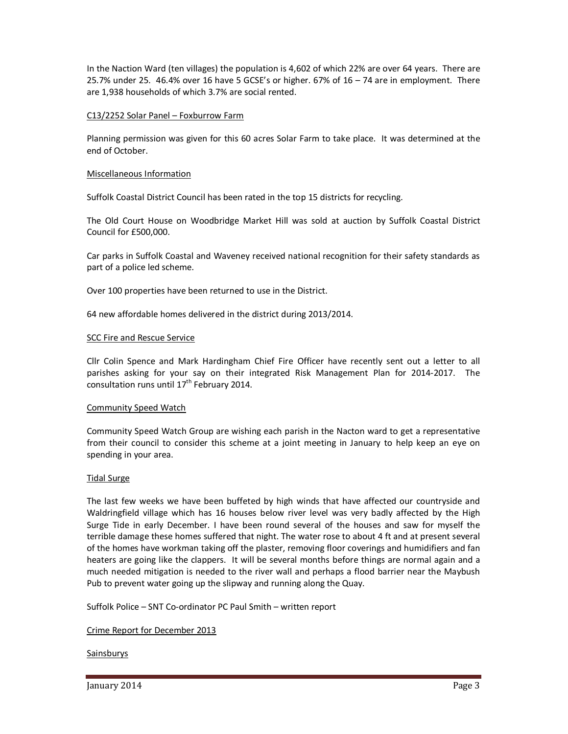In the Naction Ward (ten villages) the population is 4,602 of which 22% are over 64 years. There are 25.7% under 25. 46.4% over 16 have 5 GCSE's or higher. 67% of 16 – 74 are in employment. There are 1,938 households of which 3.7% are social rented.

### C13/2252 Solar Panel – Foxburrow Farm

Planning permission was given for this 60 acres Solar Farm to take place. It was determined at the end of October.

### Miscellaneous Information

Suffolk Coastal District Council has been rated in the top 15 districts for recycling.

The Old Court House on Woodbridge Market Hill was sold at auction by Suffolk Coastal District Council for £500,000.

Car parks in Suffolk Coastal and Waveney received national recognition for their safety standards as part of a police led scheme.

Over 100 properties have been returned to use in the District.

64 new affordable homes delivered in the district during 2013/2014.

### SCC Fire and Rescue Service

Cllr Colin Spence and Mark Hardingham Chief Fire Officer have recently sent out a letter to all parishes asking for your say on their integrated Risk Management Plan for 2014-2017. The consultation runs until  $17<sup>th</sup>$  February 2014.

### Community Speed Watch

Community Speed Watch Group are wishing each parish in the Nacton ward to get a representative from their council to consider this scheme at a joint meeting in January to help keep an eye on spending in your area.

### Tidal Surge

The last few weeks we have been buffeted by high winds that have affected our countryside and Waldringfield village which has 16 houses below river level was very badly affected by the High Surge Tide in early December. I have been round several of the houses and saw for myself the terrible damage these homes suffered that night. The water rose to about 4 ft and at present several of the homes have workman taking off the plaster, removing floor coverings and humidifiers and fan heaters are going like the clappers. It will be several months before things are normal again and a much needed mitigation is needed to the river wall and perhaps a flood barrier near the Maybush Pub to prevent water going up the slipway and running along the Quay.

Suffolk Police – SNT Co-ordinator PC Paul Smith – written report

Crime Report for December 2013

### Sainsburys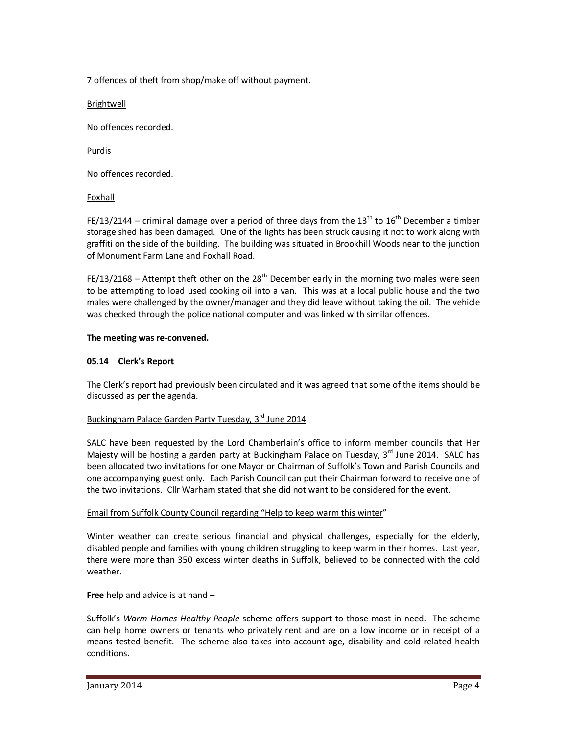7 offences of theft from shop/make off without payment.

Brightwell

No offences recorded.

Purdis

No offences recorded.

# Foxhall

FE/13/2144 – criminal damage over a period of three days from the 13<sup>th</sup> to 16<sup>th</sup> December a timber storage shed has been damaged. One of the lights has been struck causing it not to work along with graffiti on the side of the building. The building was situated in Brookhill Woods near to the junction of Monument Farm Lane and Foxhall Road.

FE/13/2168 – Attempt theft other on the 28<sup>th</sup> December early in the morning two males were seen to be attempting to load used cooking oil into a van. This was at a local public house and the two males were challenged by the owner/manager and they did leave without taking the oil. The vehicle was checked through the police national computer and was linked with similar offences.

# **The meeting was re-convened.**

# **05.14 Clerk's Report**

The Clerk's report had previously been circulated and it was agreed that some of the items should be discussed as per the agenda.

# Buckingham Palace Garden Party Tuesday, 3rd June 2014

SALC have been requested by the Lord Chamberlain's office to inform member councils that Her Majesty will be hosting a garden party at Buckingham Palace on Tuesday, 3<sup>rd</sup> June 2014. SALC has been allocated two invitations for one Mayor or Chairman of Suffolk's Town and Parish Councils and one accompanying guest only. Each Parish Council can put their Chairman forward to receive one of the two invitations. Cllr Warham stated that she did not want to be considered for the event.

# Email from Suffolk County Council regarding "Help to keep warm this winter"

Winter weather can create serious financial and physical challenges, especially for the elderly, disabled people and families with young children struggling to keep warm in their homes. Last year, there were more than 350 excess winter deaths in Suffolk, believed to be connected with the cold weather.

**Free** help and advice is at hand –

Suffolk's *Warm Homes Healthy People* scheme offers support to those most in need. The scheme can help home owners or tenants who privately rent and are on a low income or in receipt of a means tested benefit. The scheme also takes into account age, disability and cold related health conditions.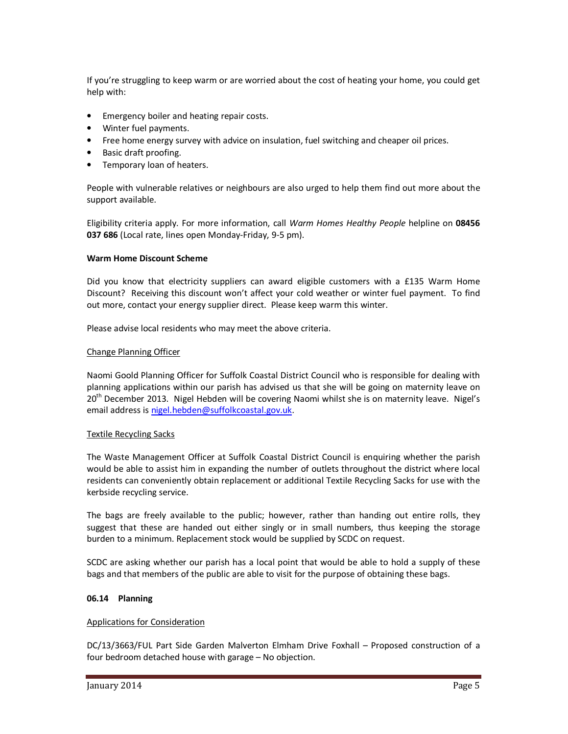If you're struggling to keep warm or are worried about the cost of heating your home, you could get help with:

- Emergency boiler and heating repair costs.
- Winter fuel payments.
- Free home energy survey with advice on insulation, fuel switching and cheaper oil prices.
- Basic draft proofing.
- Temporary loan of heaters.

People with vulnerable relatives or neighbours are also urged to help them find out more about the support available.

Eligibility criteria apply. For more information, call *Warm Homes Healthy People* helpline on **08456 037 686** (Local rate, lines open Monday-Friday, 9-5 pm).

# **Warm Home Discount Scheme**

Did you know that electricity suppliers can award eligible customers with a £135 Warm Home Discount? Receiving this discount won't affect your cold weather or winter fuel payment. To find out more, contact your energy supplier direct. Please keep warm this winter.

Please advise local residents who may meet the above criteria.

# Change Planning Officer

Naomi Goold Planning Officer for Suffolk Coastal District Council who is responsible for dealing with planning applications within our parish has advised us that she will be going on maternity leave on 20<sup>th</sup> December 2013. Nigel Hebden will be covering Naomi whilst she is on maternity leave. Nigel's email address is nigel.hebden@suffolkcoastal.gov.uk.

### Textile Recycling Sacks

The Waste Management Officer at Suffolk Coastal District Council is enquiring whether the parish would be able to assist him in expanding the number of outlets throughout the district where local residents can conveniently obtain replacement or additional Textile Recycling Sacks for use with the kerbside recycling service.

The bags are freely available to the public; however, rather than handing out entire rolls, they suggest that these are handed out either singly or in small numbers, thus keeping the storage burden to a minimum. Replacement stock would be supplied by SCDC on request.

SCDC are asking whether our parish has a local point that would be able to hold a supply of these bags and that members of the public are able to visit for the purpose of obtaining these bags.

# **06.14 Planning**

### Applications for Consideration

DC/13/3663/FUL Part Side Garden Malverton Elmham Drive Foxhall – Proposed construction of a four bedroom detached house with garage – No objection.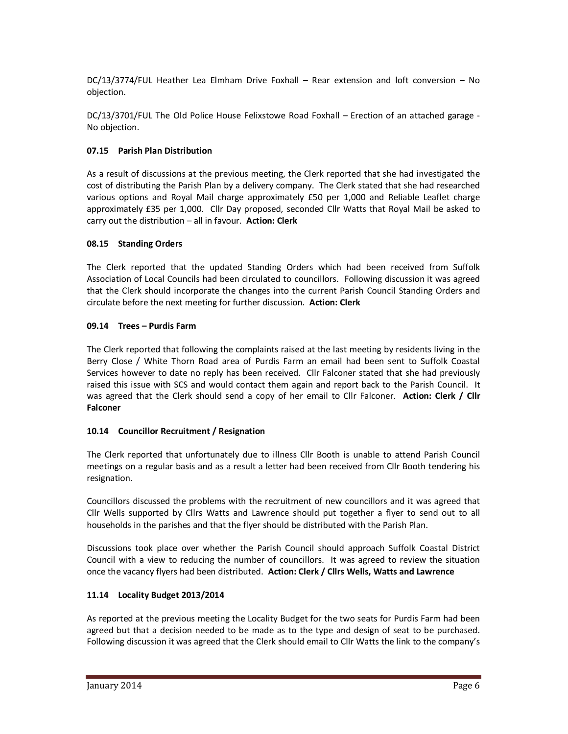DC/13/3774/FUL Heather Lea Elmham Drive Foxhall – Rear extension and loft conversion – No objection.

DC/13/3701/FUL The Old Police House Felixstowe Road Foxhall – Erection of an attached garage - No objection.

# **07.15 Parish Plan Distribution**

As a result of discussions at the previous meeting, the Clerk reported that she had investigated the cost of distributing the Parish Plan by a delivery company. The Clerk stated that she had researched various options and Royal Mail charge approximately £50 per 1,000 and Reliable Leaflet charge approximately £35 per 1,000. Cllr Day proposed, seconded Cllr Watts that Royal Mail be asked to carry out the distribution – all in favour. **Action: Clerk** 

# **08.15 Standing Orders**

The Clerk reported that the updated Standing Orders which had been received from Suffolk Association of Local Councils had been circulated to councillors. Following discussion it was agreed that the Clerk should incorporate the changes into the current Parish Council Standing Orders and circulate before the next meeting for further discussion. **Action: Clerk** 

# **09.14 Trees – Purdis Farm**

The Clerk reported that following the complaints raised at the last meeting by residents living in the Berry Close / White Thorn Road area of Purdis Farm an email had been sent to Suffolk Coastal Services however to date no reply has been received. Cllr Falconer stated that she had previously raised this issue with SCS and would contact them again and report back to the Parish Council. It was agreed that the Clerk should send a copy of her email to Cllr Falconer. **Action: Clerk / Cllr Falconer** 

# **10.14 Councillor Recruitment / Resignation**

The Clerk reported that unfortunately due to illness Cllr Booth is unable to attend Parish Council meetings on a regular basis and as a result a letter had been received from Cllr Booth tendering his resignation.

Councillors discussed the problems with the recruitment of new councillors and it was agreed that Cllr Wells supported by Cllrs Watts and Lawrence should put together a flyer to send out to all households in the parishes and that the flyer should be distributed with the Parish Plan.

Discussions took place over whether the Parish Council should approach Suffolk Coastal District Council with a view to reducing the number of councillors. It was agreed to review the situation once the vacancy flyers had been distributed. **Action: Clerk / Cllrs Wells, Watts and Lawrence** 

# **11.14 Locality Budget 2013/2014**

As reported at the previous meeting the Locality Budget for the two seats for Purdis Farm had been agreed but that a decision needed to be made as to the type and design of seat to be purchased. Following discussion it was agreed that the Clerk should email to Cllr Watts the link to the company's